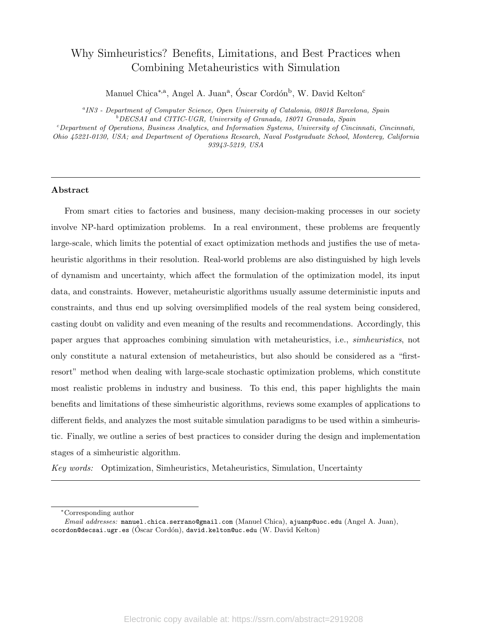# Why Simheuristics? Benefits, Limitations, and Best Practices when Combining Metaheuristics with Simulation

Manuel Chica<sup>∗,a</sup>, Angel A. Juan<sup>a</sup>, Óscar Cordón<sup>b</sup>, W. David Kelton<sup>c</sup>

<sup>a</sup>IN3 - Department of Computer Science, Open University of Catalonia, 08018 Barcelona, Spain <sup>b</sup>DECSAI and CITIC-UGR, University of Granada, 18071 Granada, Spain

 $c$ Department of Operations, Business Analytics, and Information Systems, University of Cincinnati, Cincinnati,

Ohio 45221-0130, USA; and Department of Operations Research, Naval Postgraduate School, Monterey, California 93943-5219, USA

#### Abstract

From smart cities to factories and business, many decision-making processes in our society involve NP-hard optimization problems. In a real environment, these problems are frequently large-scale, which limits the potential of exact optimization methods and justifies the use of metaheuristic algorithms in their resolution. Real-world problems are also distinguished by high levels of dynamism and uncertainty, which affect the formulation of the optimization model, its input data, and constraints. However, metaheuristic algorithms usually assume deterministic inputs and constraints, and thus end up solving oversimplified models of the real system being considered, casting doubt on validity and even meaning of the results and recommendations. Accordingly, this paper argues that approaches combining simulation with metaheuristics, i.e., simheuristics, not only constitute a natural extension of metaheuristics, but also should be considered as a "firstresort" method when dealing with large-scale stochastic optimization problems, which constitute most realistic problems in industry and business. To this end, this paper highlights the main benefits and limitations of these simheuristic algorithms, reviews some examples of applications to different fields, and analyzes the most suitable simulation paradigms to be used within a simheuristic. Finally, we outline a series of best practices to consider during the design and implementation stages of a simheuristic algorithm.

Key words: Optimization, Simheuristics, Metaheuristics, Simulation, Uncertainty

<sup>∗</sup>Corresponding author

Email addresses: manuel.chica.serrano@gmail.com (Manuel Chica), ajuanp@uoc.edu (Angel A. Juan), ocordon@decsai.ugr.es (Óscar Cordón), david.kelton@uc.edu (W. David Kelton)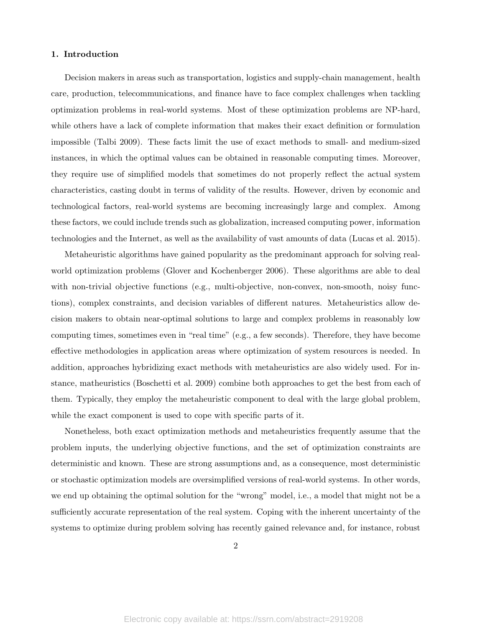## 1. Introduction

Decision makers in areas such as transportation, logistics and supply-chain management, health care, production, telecommunications, and finance have to face complex challenges when tackling optimization problems in real-world systems. Most of these optimization problems are NP-hard, while others have a lack of complete information that makes their exact definition or formulation impossible (Talbi 2009). These facts limit the use of exact methods to small- and medium-sized instances, in which the optimal values can be obtained in reasonable computing times. Moreover, they require use of simplified models that sometimes do not properly reflect the actual system characteristics, casting doubt in terms of validity of the results. However, driven by economic and technological factors, real-world systems are becoming increasingly large and complex. Among these factors, we could include trends such as globalization, increased computing power, information technologies and the Internet, as well as the availability of vast amounts of data (Lucas et al. 2015).

Metaheuristic algorithms have gained popularity as the predominant approach for solving realworld optimization problems (Glover and Kochenberger 2006). These algorithms are able to deal with non-trivial objective functions (e.g., multi-objective, non-convex, non-smooth, noisy functions), complex constraints, and decision variables of different natures. Metaheuristics allow decision makers to obtain near-optimal solutions to large and complex problems in reasonably low computing times, sometimes even in "real time" (e.g., a few seconds). Therefore, they have become effective methodologies in application areas where optimization of system resources is needed. In addition, approaches hybridizing exact methods with metaheuristics are also widely used. For instance, matheuristics (Boschetti et al. 2009) combine both approaches to get the best from each of them. Typically, they employ the metaheuristic component to deal with the large global problem, while the exact component is used to cope with specific parts of it.

Nonetheless, both exact optimization methods and metaheuristics frequently assume that the problem inputs, the underlying objective functions, and the set of optimization constraints are deterministic and known. These are strong assumptions and, as a consequence, most deterministic or stochastic optimization models are oversimplified versions of real-world systems. In other words, we end up obtaining the optimal solution for the "wrong" model, i.e., a model that might not be a sufficiently accurate representation of the real system. Coping with the inherent uncertainty of the systems to optimize during problem solving has recently gained relevance and, for instance, robust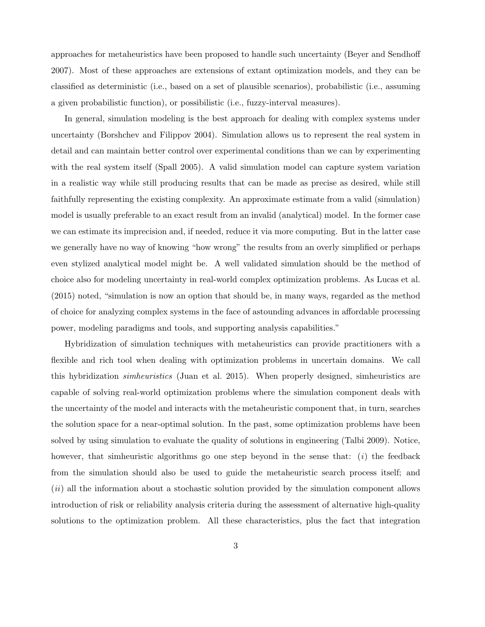approaches for metaheuristics have been proposed to handle such uncertainty (Beyer and Sendhoff 2007). Most of these approaches are extensions of extant optimization models, and they can be classified as deterministic (i.e., based on a set of plausible scenarios), probabilistic (i.e., assuming a given probabilistic function), or possibilistic (i.e., fuzzy-interval measures).

In general, simulation modeling is the best approach for dealing with complex systems under uncertainty (Borshchev and Filippov 2004). Simulation allows us to represent the real system in detail and can maintain better control over experimental conditions than we can by experimenting with the real system itself (Spall 2005). A valid simulation model can capture system variation in a realistic way while still producing results that can be made as precise as desired, while still faithfully representing the existing complexity. An approximate estimate from a valid (simulation) model is usually preferable to an exact result from an invalid (analytical) model. In the former case we can estimate its imprecision and, if needed, reduce it via more computing. But in the latter case we generally have no way of knowing "how wrong" the results from an overly simplified or perhaps even stylized analytical model might be. A well validated simulation should be the method of choice also for modeling uncertainty in real-world complex optimization problems. As Lucas et al. (2015) noted, "simulation is now an option that should be, in many ways, regarded as the method of choice for analyzing complex systems in the face of astounding advances in affordable processing power, modeling paradigms and tools, and supporting analysis capabilities."

Hybridization of simulation techniques with metaheuristics can provide practitioners with a flexible and rich tool when dealing with optimization problems in uncertain domains. We call this hybridization simheuristics (Juan et al. 2015). When properly designed, simheuristics are capable of solving real-world optimization problems where the simulation component deals with the uncertainty of the model and interacts with the metaheuristic component that, in turn, searches the solution space for a near-optimal solution. In the past, some optimization problems have been solved by using simulation to evaluate the quality of solutions in engineering (Talbi 2009). Notice, however, that simheuristic algorithms go one step beyond in the sense that: (i) the feedback from the simulation should also be used to guide the metaheuristic search process itself; and  $(ii)$  all the information about a stochastic solution provided by the simulation component allows introduction of risk or reliability analysis criteria during the assessment of alternative high-quality solutions to the optimization problem. All these characteristics, plus the fact that integration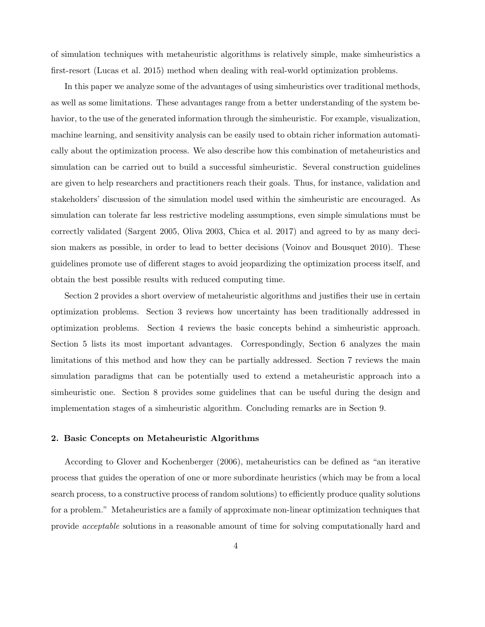of simulation techniques with metaheuristic algorithms is relatively simple, make simheuristics a first-resort (Lucas et al. 2015) method when dealing with real-world optimization problems.

In this paper we analyze some of the advantages of using simheuristics over traditional methods, as well as some limitations. These advantages range from a better understanding of the system behavior, to the use of the generated information through the simheuristic. For example, visualization, machine learning, and sensitivity analysis can be easily used to obtain richer information automatically about the optimization process. We also describe how this combination of metaheuristics and simulation can be carried out to build a successful simheuristic. Several construction guidelines are given to help researchers and practitioners reach their goals. Thus, for instance, validation and stakeholders' discussion of the simulation model used within the simheuristic are encouraged. As simulation can tolerate far less restrictive modeling assumptions, even simple simulations must be correctly validated (Sargent 2005, Oliva 2003, Chica et al. 2017) and agreed to by as many decision makers as possible, in order to lead to better decisions (Voinov and Bousquet 2010). These guidelines promote use of different stages to avoid jeopardizing the optimization process itself, and obtain the best possible results with reduced computing time.

Section 2 provides a short overview of metaheuristic algorithms and justifies their use in certain optimization problems. Section 3 reviews how uncertainty has been traditionally addressed in optimization problems. Section 4 reviews the basic concepts behind a simheuristic approach. Section 5 lists its most important advantages. Correspondingly, Section 6 analyzes the main limitations of this method and how they can be partially addressed. Section 7 reviews the main simulation paradigms that can be potentially used to extend a metaheuristic approach into a simheuristic one. Section 8 provides some guidelines that can be useful during the design and implementation stages of a simheuristic algorithm. Concluding remarks are in Section 9.

### 2. Basic Concepts on Metaheuristic Algorithms

According to Glover and Kochenberger (2006), metaheuristics can be defined as "an iterative process that guides the operation of one or more subordinate heuristics (which may be from a local search process, to a constructive process of random solutions) to efficiently produce quality solutions for a problem." Metaheuristics are a family of approximate non-linear optimization techniques that provide acceptable solutions in a reasonable amount of time for solving computationally hard and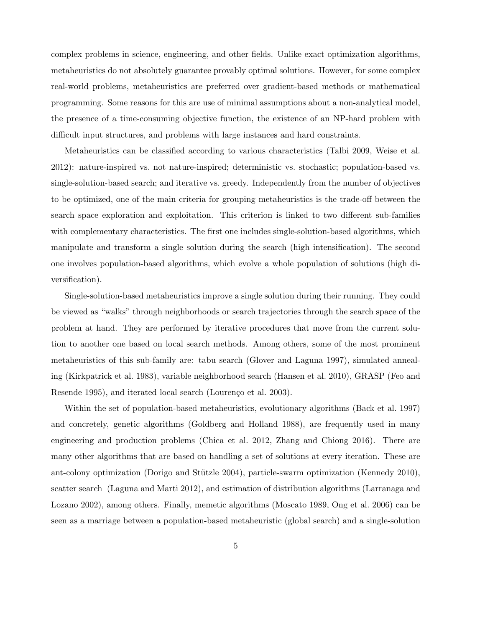complex problems in science, engineering, and other fields. Unlike exact optimization algorithms, metaheuristics do not absolutely guarantee provably optimal solutions. However, for some complex real-world problems, metaheuristics are preferred over gradient-based methods or mathematical programming. Some reasons for this are use of minimal assumptions about a non-analytical model, the presence of a time-consuming objective function, the existence of an NP-hard problem with difficult input structures, and problems with large instances and hard constraints.

Metaheuristics can be classified according to various characteristics (Talbi 2009, Weise et al. 2012): nature-inspired vs. not nature-inspired; deterministic vs. stochastic; population-based vs. single-solution-based search; and iterative vs. greedy. Independently from the number of objectives to be optimized, one of the main criteria for grouping metaheuristics is the trade-off between the search space exploration and exploitation. This criterion is linked to two different sub-families with complementary characteristics. The first one includes single-solution-based algorithms, which manipulate and transform a single solution during the search (high intensification). The second one involves population-based algorithms, which evolve a whole population of solutions (high diversification).

Single-solution-based metaheuristics improve a single solution during their running. They could be viewed as "walks" through neighborhoods or search trajectories through the search space of the problem at hand. They are performed by iterative procedures that move from the current solution to another one based on local search methods. Among others, some of the most prominent metaheuristics of this sub-family are: tabu search (Glover and Laguna 1997), simulated annealing (Kirkpatrick et al. 1983), variable neighborhood search (Hansen et al. 2010), GRASP (Feo and Resende 1995), and iterated local search (Lourenço et al. 2003).

Within the set of population-based metaheuristics, evolutionary algorithms (Back et al. 1997) and concretely, genetic algorithms (Goldberg and Holland 1988), are frequently used in many engineering and production problems (Chica et al. 2012, Zhang and Chiong 2016). There are many other algorithms that are based on handling a set of solutions at every iteration. These are ant-colony optimization (Dorigo and Stützle 2004), particle-swarm optimization (Kennedy 2010), scatter search (Laguna and Marti 2012), and estimation of distribution algorithms (Larranaga and Lozano 2002), among others. Finally, memetic algorithms (Moscato 1989, Ong et al. 2006) can be seen as a marriage between a population-based metaheuristic (global search) and a single-solution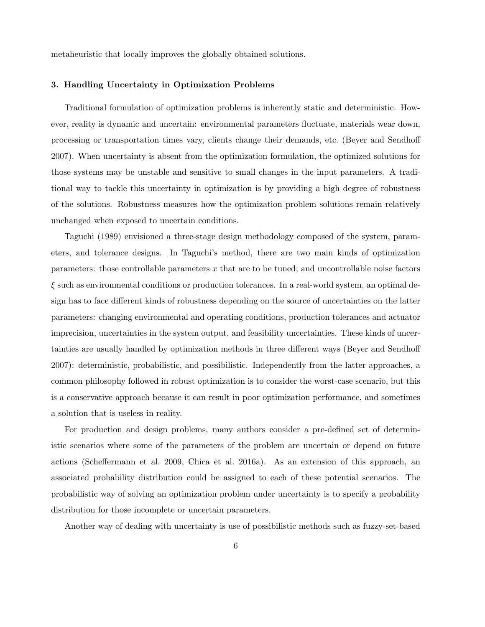metaheuristic that locally improves the globally obtained solutions.

## 3. Handling Uncertainty in Optimization Problems

Traditional formulation of optimization problems is inherently static and deterministic. However, reality is dynamic and uncertain: environmental parameters fluctuate, materials wear down, processing or transportation times vary, clients change their demands, etc. (Beyer and Sendhoff 2007). When uncertainty is absent from the optimization formulation, the optimized solutions for those systems may be unstable and sensitive to small changes in the input parameters. A traditional way to tackle this uncertainty in optimization is by providing a high degree of robustness of the solutions. Robustness measures how the optimization problem solutions remain relatively unchanged when exposed to uncertain conditions.

Taguchi (1989) envisioned a three-stage design methodology composed of the system, parameters, and tolerance designs. In Taguchi's method, there are two main kinds of optimization parameters: those controllable parameters  $x$  that are to be tuned; and uncontrollable noise factors  $\xi$  such as environmental conditions or production tolerances. In a real-world system, an optimal design has to face different kinds of robustness depending on the source of uncertainties on the latter parameters: changing environmental and operating conditions, production tolerances and actuator imprecision, uncertainties in the system output, and feasibility uncertainties. These kinds of uncertainties are usually handled by optimization methods in three different ways (Beyer and Sendhoff 2007): deterministic, probabilistic, and possibilistic. Independently from the latter approaches, a common philosophy followed in robust optimization is to consider the worst-case scenario, but this is a conservative approach because it can result in poor optimization performance, and sometimes a solution that is useless in reality.

For production and design problems, many authors consider a pre-defined set of deterministic scenarios where some of the parameters of the problem are uncertain or depend on future actions (Scheffermann et al. 2009, Chica et al. 2016a). As an extension of this approach, an associated probability distribution could be assigned to each of these potential scenarios. The probabilistic way of solving an optimization problem under uncertainty is to specify a probability distribution for those incomplete or uncertain parameters.

Another way of dealing with uncertainty is use of possibilistic methods such as fuzzy-set-based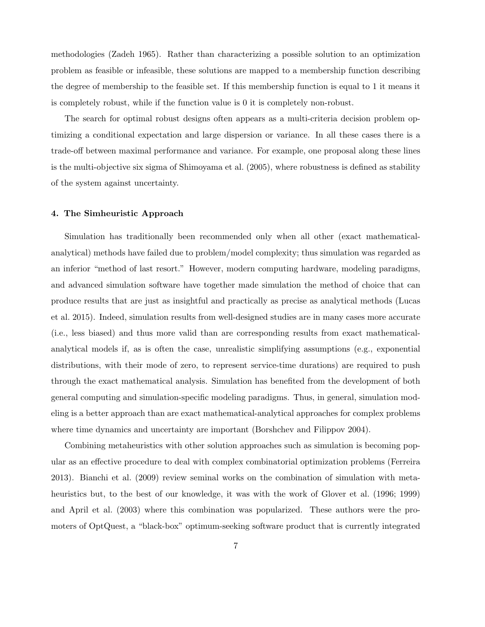methodologies (Zadeh 1965). Rather than characterizing a possible solution to an optimization problem as feasible or infeasible, these solutions are mapped to a membership function describing the degree of membership to the feasible set. If this membership function is equal to 1 it means it is completely robust, while if the function value is 0 it is completely non-robust.

The search for optimal robust designs often appears as a multi-criteria decision problem optimizing a conditional expectation and large dispersion or variance. In all these cases there is a trade-off between maximal performance and variance. For example, one proposal along these lines is the multi-objective six sigma of Shimoyama et al. (2005), where robustness is defined as stability of the system against uncertainty.

# 4. The Simheuristic Approach

Simulation has traditionally been recommended only when all other (exact mathematicalanalytical) methods have failed due to problem/model complexity; thus simulation was regarded as an inferior "method of last resort." However, modern computing hardware, modeling paradigms, and advanced simulation software have together made simulation the method of choice that can produce results that are just as insightful and practically as precise as analytical methods (Lucas et al. 2015). Indeed, simulation results from well-designed studies are in many cases more accurate (i.e., less biased) and thus more valid than are corresponding results from exact mathematicalanalytical models if, as is often the case, unrealistic simplifying assumptions (e.g., exponential distributions, with their mode of zero, to represent service-time durations) are required to push through the exact mathematical analysis. Simulation has benefited from the development of both general computing and simulation-specific modeling paradigms. Thus, in general, simulation modeling is a better approach than are exact mathematical-analytical approaches for complex problems where time dynamics and uncertainty are important (Borshchev and Filippov 2004).

Combining metaheuristics with other solution approaches such as simulation is becoming popular as an effective procedure to deal with complex combinatorial optimization problems (Ferreira 2013). Bianchi et al. (2009) review seminal works on the combination of simulation with metaheuristics but, to the best of our knowledge, it was with the work of Glover et al. (1996; 1999) and April et al. (2003) where this combination was popularized. These authors were the promoters of OptQuest, a "black-box" optimum-seeking software product that is currently integrated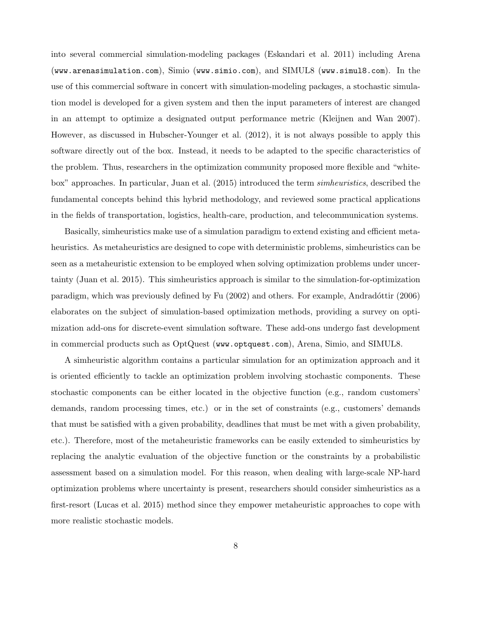into several commercial simulation-modeling packages (Eskandari et al. 2011) including Arena (www.arenasimulation.com), Simio (www.simio.com), and SIMUL8 (www.simul8.com). In the use of this commercial software in concert with simulation-modeling packages, a stochastic simulation model is developed for a given system and then the input parameters of interest are changed in an attempt to optimize a designated output performance metric (Kleijnen and Wan 2007). However, as discussed in Hubscher-Younger et al. (2012), it is not always possible to apply this software directly out of the box. Instead, it needs to be adapted to the specific characteristics of the problem. Thus, researchers in the optimization community proposed more flexible and "whitebox" approaches. In particular, Juan et al. (2015) introduced the term simheuristics, described the fundamental concepts behind this hybrid methodology, and reviewed some practical applications in the fields of transportation, logistics, health-care, production, and telecommunication systems.

Basically, simheuristics make use of a simulation paradigm to extend existing and efficient metaheuristics. As metaheuristics are designed to cope with deterministic problems, simheuristics can be seen as a metaheuristic extension to be employed when solving optimization problems under uncertainty (Juan et al. 2015). This simheuristics approach is similar to the simulation-for-optimization paradigm, which was previously defined by Fu (2002) and others. For example, Andradóttir (2006) elaborates on the subject of simulation-based optimization methods, providing a survey on optimization add-ons for discrete-event simulation software. These add-ons undergo fast development in commercial products such as OptQuest (www.optquest.com), Arena, Simio, and SIMUL8.

A simheuristic algorithm contains a particular simulation for an optimization approach and it is oriented efficiently to tackle an optimization problem involving stochastic components. These stochastic components can be either located in the objective function (e.g., random customers' demands, random processing times, etc.) or in the set of constraints (e.g., customers' demands that must be satisfied with a given probability, deadlines that must be met with a given probability, etc.). Therefore, most of the metaheuristic frameworks can be easily extended to simheuristics by replacing the analytic evaluation of the objective function or the constraints by a probabilistic assessment based on a simulation model. For this reason, when dealing with large-scale NP-hard optimization problems where uncertainty is present, researchers should consider simheuristics as a first-resort (Lucas et al. 2015) method since they empower metaheuristic approaches to cope with more realistic stochastic models.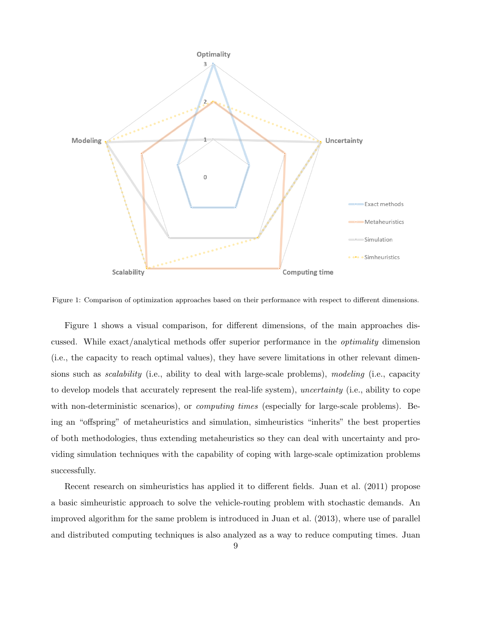

Figure 1: Comparison of optimization approaches based on their performance with respect to different dimensions.

Figure 1 shows a visual comparison, for different dimensions, of the main approaches discussed. While exact/analytical methods offer superior performance in the optimality dimension (i.e., the capacity to reach optimal values), they have severe limitations in other relevant dimensions such as *scalability* (i.e., ability to deal with large-scale problems), modeling (i.e., capacity to develop models that accurately represent the real-life system), uncertainty (i.e., ability to cope with non-deterministic scenarios), or *computing times* (especially for large-scale problems). Being an "offspring" of metaheuristics and simulation, simheuristics "inherits" the best properties of both methodologies, thus extending metaheuristics so they can deal with uncertainty and providing simulation techniques with the capability of coping with large-scale optimization problems successfully.

Recent research on simheuristics has applied it to different fields. Juan et al. (2011) propose a basic simheuristic approach to solve the vehicle-routing problem with stochastic demands. An improved algorithm for the same problem is introduced in Juan et al. (2013), where use of parallel and distributed computing techniques is also analyzed as a way to reduce computing times. Juan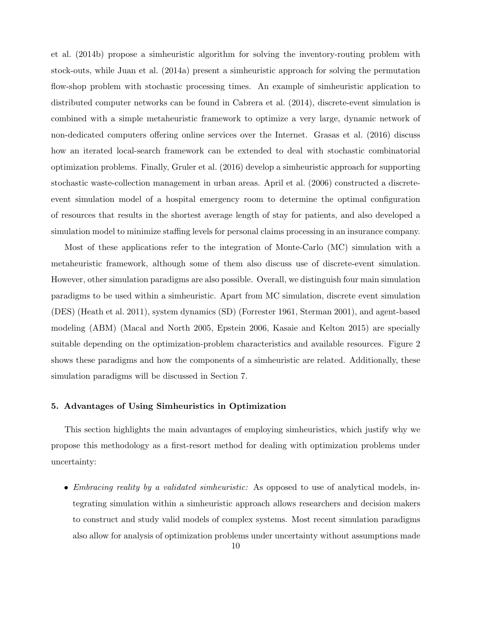et al. (2014b) propose a simheuristic algorithm for solving the inventory-routing problem with stock-outs, while Juan et al. (2014a) present a simheuristic approach for solving the permutation flow-shop problem with stochastic processing times. An example of simheuristic application to distributed computer networks can be found in Cabrera et al. (2014), discrete-event simulation is combined with a simple metaheuristic framework to optimize a very large, dynamic network of non-dedicated computers offering online services over the Internet. Grasas et al. (2016) discuss how an iterated local-search framework can be extended to deal with stochastic combinatorial optimization problems. Finally, Gruler et al. (2016) develop a simheuristic approach for supporting stochastic waste-collection management in urban areas. April et al. (2006) constructed a discreteevent simulation model of a hospital emergency room to determine the optimal configuration of resources that results in the shortest average length of stay for patients, and also developed a simulation model to minimize staffing levels for personal claims processing in an insurance company.

Most of these applications refer to the integration of Monte-Carlo (MC) simulation with a metaheuristic framework, although some of them also discuss use of discrete-event simulation. However, other simulation paradigms are also possible. Overall, we distinguish four main simulation paradigms to be used within a simheuristic. Apart from MC simulation, discrete event simulation (DES) (Heath et al. 2011), system dynamics (SD) (Forrester 1961, Sterman 2001), and agent-based modeling (ABM) (Macal and North 2005, Epstein 2006, Kasaie and Kelton 2015) are specially suitable depending on the optimization-problem characteristics and available resources. Figure 2 shows these paradigms and how the components of a simheuristic are related. Additionally, these simulation paradigms will be discussed in Section 7.

## 5. Advantages of Using Simheuristics in Optimization

This section highlights the main advantages of employing simheuristics, which justify why we propose this methodology as a first-resort method for dealing with optimization problems under uncertainty:

• *Embracing reality by a validated simheuristic:* As opposed to use of analytical models, integrating simulation within a simheuristic approach allows researchers and decision makers to construct and study valid models of complex systems. Most recent simulation paradigms also allow for analysis of optimization problems under uncertainty without assumptions made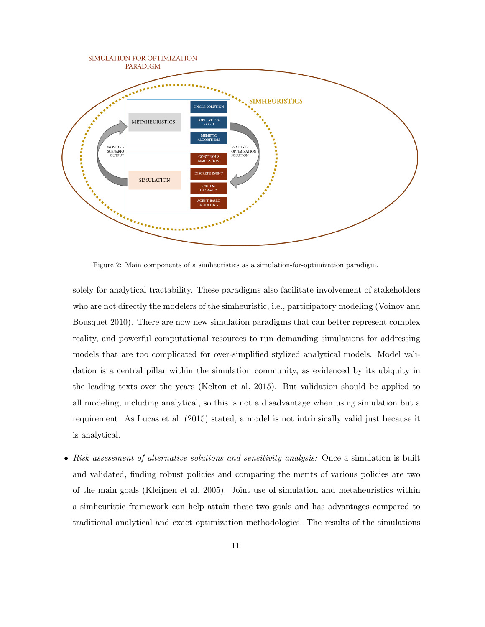

Figure 2: Main components of a simheuristics as a simulation-for-optimization paradigm.

solely for analytical tractability. These paradigms also facilitate involvement of stakeholders who are not directly the modelers of the simheuristic, i.e., participatory modeling (Voinov and Bousquet 2010). There are now new simulation paradigms that can better represent complex reality, and powerful computational resources to run demanding simulations for addressing models that are too complicated for over-simplified stylized analytical models. Model validation is a central pillar within the simulation community, as evidenced by its ubiquity in the leading texts over the years (Kelton et al. 2015). But validation should be applied to all modeling, including analytical, so this is not a disadvantage when using simulation but a requirement. As Lucas et al. (2015) stated, a model is not intrinsically valid just because it is analytical.

• Risk assessment of alternative solutions and sensitivity analysis: Once a simulation is built and validated, finding robust policies and comparing the merits of various policies are two of the main goals (Kleijnen et al. 2005). Joint use of simulation and metaheuristics within a simheuristic framework can help attain these two goals and has advantages compared to traditional analytical and exact optimization methodologies. The results of the simulations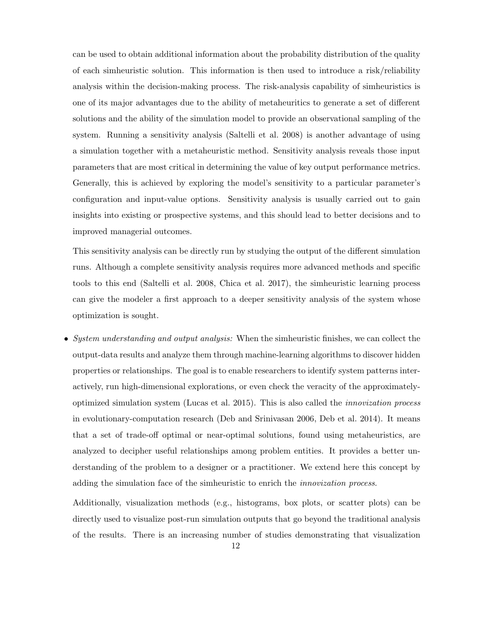can be used to obtain additional information about the probability distribution of the quality of each simheuristic solution. This information is then used to introduce a risk/reliability analysis within the decision-making process. The risk-analysis capability of simheuristics is one of its major advantages due to the ability of metaheuritics to generate a set of different solutions and the ability of the simulation model to provide an observational sampling of the system. Running a sensitivity analysis (Saltelli et al. 2008) is another advantage of using a simulation together with a metaheuristic method. Sensitivity analysis reveals those input parameters that are most critical in determining the value of key output performance metrics. Generally, this is achieved by exploring the model's sensitivity to a particular parameter's configuration and input-value options. Sensitivity analysis is usually carried out to gain insights into existing or prospective systems, and this should lead to better decisions and to improved managerial outcomes.

This sensitivity analysis can be directly run by studying the output of the different simulation runs. Although a complete sensitivity analysis requires more advanced methods and specific tools to this end (Saltelli et al. 2008, Chica et al. 2017), the simheuristic learning process can give the modeler a first approach to a deeper sensitivity analysis of the system whose optimization is sought.

• System understanding and output analysis: When the simheuristic finishes, we can collect the output-data results and analyze them through machine-learning algorithms to discover hidden properties or relationships. The goal is to enable researchers to identify system patterns interactively, run high-dimensional explorations, or even check the veracity of the approximatelyoptimized simulation system (Lucas et al. 2015). This is also called the innovization process in evolutionary-computation research (Deb and Srinivasan 2006, Deb et al. 2014). It means that a set of trade-off optimal or near-optimal solutions, found using metaheuristics, are analyzed to decipher useful relationships among problem entities. It provides a better understanding of the problem to a designer or a practitioner. We extend here this concept by adding the simulation face of the simheuristic to enrich the innovization process.

Additionally, visualization methods (e.g., histograms, box plots, or scatter plots) can be directly used to visualize post-run simulation outputs that go beyond the traditional analysis of the results. There is an increasing number of studies demonstrating that visualization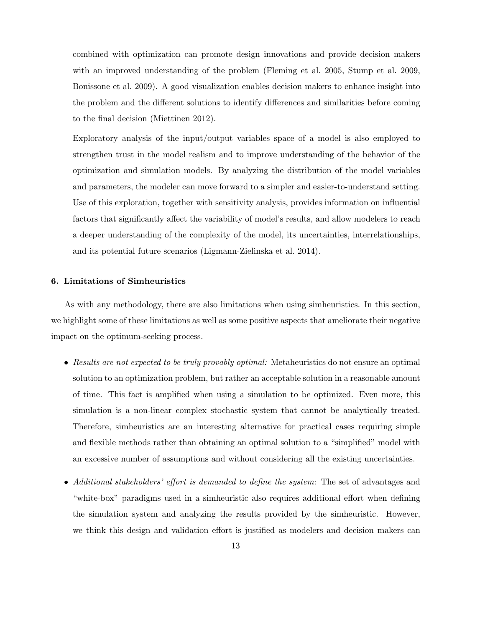combined with optimization can promote design innovations and provide decision makers with an improved understanding of the problem (Fleming et al. 2005, Stump et al. 2009, Bonissone et al. 2009). A good visualization enables decision makers to enhance insight into the problem and the different solutions to identify differences and similarities before coming to the final decision (Miettinen 2012).

Exploratory analysis of the input/output variables space of a model is also employed to strengthen trust in the model realism and to improve understanding of the behavior of the optimization and simulation models. By analyzing the distribution of the model variables and parameters, the modeler can move forward to a simpler and easier-to-understand setting. Use of this exploration, together with sensitivity analysis, provides information on influential factors that significantly affect the variability of model's results, and allow modelers to reach a deeper understanding of the complexity of the model, its uncertainties, interrelationships, and its potential future scenarios (Ligmann-Zielinska et al. 2014).

## 6. Limitations of Simheuristics

As with any methodology, there are also limitations when using simheuristics. In this section, we highlight some of these limitations as well as some positive aspects that ameliorate their negative impact on the optimum-seeking process.

- Results are not expected to be truly provably optimal: Metaheuristics do not ensure an optimal solution to an optimization problem, but rather an acceptable solution in a reasonable amount of time. This fact is amplified when using a simulation to be optimized. Even more, this simulation is a non-linear complex stochastic system that cannot be analytically treated. Therefore, simheuristics are an interesting alternative for practical cases requiring simple and flexible methods rather than obtaining an optimal solution to a "simplified" model with an excessive number of assumptions and without considering all the existing uncertainties.
- Additional stakeholders' effort is demanded to define the system: The set of advantages and "white-box" paradigms used in a simheuristic also requires additional effort when defining the simulation system and analyzing the results provided by the simheuristic. However, we think this design and validation effort is justified as modelers and decision makers can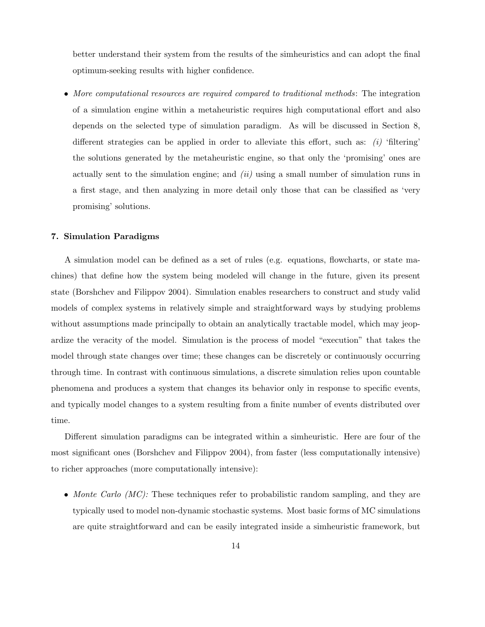better understand their system from the results of the simheuristics and can adopt the final optimum-seeking results with higher confidence.

• More computational resources are required compared to traditional methods: The integration of a simulation engine within a metaheuristic requires high computational effort and also depends on the selected type of simulation paradigm. As will be discussed in Section 8, different strategies can be applied in order to alleviate this effort, such as:  $(i)$  'filtering' the solutions generated by the metaheuristic engine, so that only the 'promising' ones are actually sent to the simulation engine; and  $(ii)$  using a small number of simulation runs in a first stage, and then analyzing in more detail only those that can be classified as 'very promising' solutions.

# 7. Simulation Paradigms

A simulation model can be defined as a set of rules (e.g. equations, flowcharts, or state machines) that define how the system being modeled will change in the future, given its present state (Borshchev and Filippov 2004). Simulation enables researchers to construct and study valid models of complex systems in relatively simple and straightforward ways by studying problems without assumptions made principally to obtain an analytically tractable model, which may jeopardize the veracity of the model. Simulation is the process of model "execution" that takes the model through state changes over time; these changes can be discretely or continuously occurring through time. In contrast with continuous simulations, a discrete simulation relies upon countable phenomena and produces a system that changes its behavior only in response to specific events, and typically model changes to a system resulting from a finite number of events distributed over time.

Different simulation paradigms can be integrated within a simheuristic. Here are four of the most significant ones (Borshchev and Filippov 2004), from faster (less computationally intensive) to richer approaches (more computationally intensive):

• Monte Carlo  $(MC)$ : These techniques refer to probabilistic random sampling, and they are typically used to model non-dynamic stochastic systems. Most basic forms of MC simulations are quite straightforward and can be easily integrated inside a simheuristic framework, but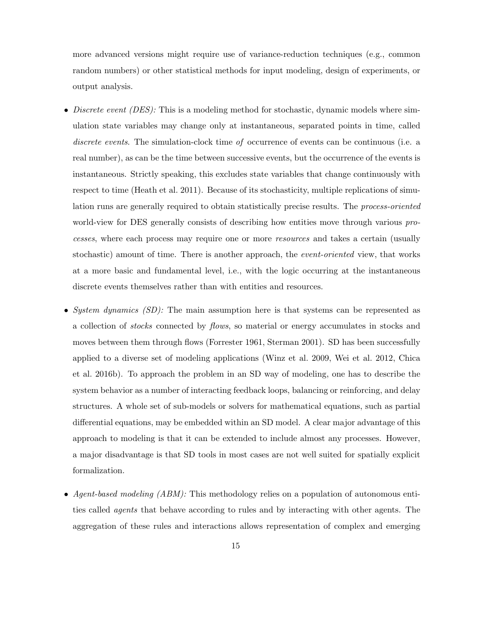more advanced versions might require use of variance-reduction techniques (e.g., common random numbers) or other statistical methods for input modeling, design of experiments, or output analysis.

- Discrete event *(DES)*: This is a modeling method for stochastic, dynamic models where simulation state variables may change only at instantaneous, separated points in time, called discrete events. The simulation-clock time of occurrence of events can be continuous (i.e. a real number), as can be the time between successive events, but the occurrence of the events is instantaneous. Strictly speaking, this excludes state variables that change continuously with respect to time (Heath et al. 2011). Because of its stochasticity, multiple replications of simulation runs are generally required to obtain statistically precise results. The process-oriented world-view for DES generally consists of describing how entities move through various processes, where each process may require one or more resources and takes a certain (usually stochastic) amount of time. There is another approach, the *event-oriented* view, that works at a more basic and fundamental level, i.e., with the logic occurring at the instantaneous discrete events themselves rather than with entities and resources.
- System dynamics  $(SD)$ : The main assumption here is that systems can be represented as a collection of stocks connected by flows, so material or energy accumulates in stocks and moves between them through flows (Forrester 1961, Sterman 2001). SD has been successfully applied to a diverse set of modeling applications (Winz et al. 2009, Wei et al. 2012, Chica et al. 2016b). To approach the problem in an SD way of modeling, one has to describe the system behavior as a number of interacting feedback loops, balancing or reinforcing, and delay structures. A whole set of sub-models or solvers for mathematical equations, such as partial differential equations, may be embedded within an SD model. A clear major advantage of this approach to modeling is that it can be extended to include almost any processes. However, a major disadvantage is that SD tools in most cases are not well suited for spatially explicit formalization.
- Agent-based modeling  $(ABM)$ : This methodology relies on a population of autonomous entities called agents that behave according to rules and by interacting with other agents. The aggregation of these rules and interactions allows representation of complex and emerging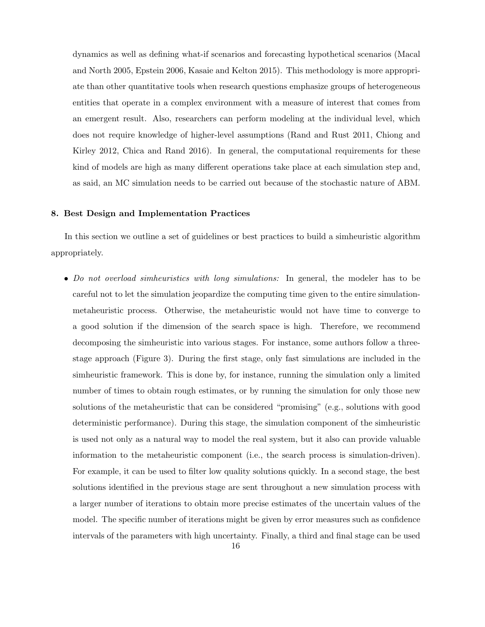dynamics as well as defining what-if scenarios and forecasting hypothetical scenarios (Macal and North 2005, Epstein 2006, Kasaie and Kelton 2015). This methodology is more appropriate than other quantitative tools when research questions emphasize groups of heterogeneous entities that operate in a complex environment with a measure of interest that comes from an emergent result. Also, researchers can perform modeling at the individual level, which does not require knowledge of higher-level assumptions (Rand and Rust 2011, Chiong and Kirley 2012, Chica and Rand 2016). In general, the computational requirements for these kind of models are high as many different operations take place at each simulation step and, as said, an MC simulation needs to be carried out because of the stochastic nature of ABM.

# 8. Best Design and Implementation Practices

In this section we outline a set of guidelines or best practices to build a simheuristic algorithm appropriately.

• Do not overload simheuristics with long simulations: In general, the modeler has to be careful not to let the simulation jeopardize the computing time given to the entire simulationmetaheuristic process. Otherwise, the metaheuristic would not have time to converge to a good solution if the dimension of the search space is high. Therefore, we recommend decomposing the simheuristic into various stages. For instance, some authors follow a threestage approach (Figure 3). During the first stage, only fast simulations are included in the simheuristic framework. This is done by, for instance, running the simulation only a limited number of times to obtain rough estimates, or by running the simulation for only those new solutions of the metaheuristic that can be considered "promising" (e.g., solutions with good deterministic performance). During this stage, the simulation component of the simheuristic is used not only as a natural way to model the real system, but it also can provide valuable information to the metaheuristic component (i.e., the search process is simulation-driven). For example, it can be used to filter low quality solutions quickly. In a second stage, the best solutions identified in the previous stage are sent throughout a new simulation process with a larger number of iterations to obtain more precise estimates of the uncertain values of the model. The specific number of iterations might be given by error measures such as confidence intervals of the parameters with high uncertainty. Finally, a third and final stage can be used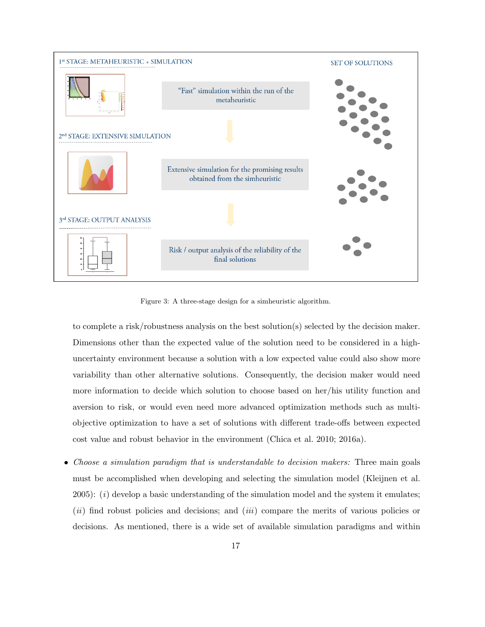

Figure 3: A three-stage design for a simheuristic algorithm.

to complete a risk/robustness analysis on the best solution(s) selected by the decision maker. Dimensions other than the expected value of the solution need to be considered in a highuncertainty environment because a solution with a low expected value could also show more variability than other alternative solutions. Consequently, the decision maker would need more information to decide which solution to choose based on her/his utility function and aversion to risk, or would even need more advanced optimization methods such as multiobjective optimization to have a set of solutions with different trade-offs between expected cost value and robust behavior in the environment (Chica et al. 2010; 2016a).

• Choose a simulation paradigm that is understandable to decision makers: Three main goals must be accomplished when developing and selecting the simulation model (Kleijnen et al.  $2005$ :  $(i)$  develop a basic understanding of the simulation model and the system it emulates;  $(ii)$  find robust policies and decisions; and  $(iii)$  compare the merits of various policies or decisions. As mentioned, there is a wide set of available simulation paradigms and within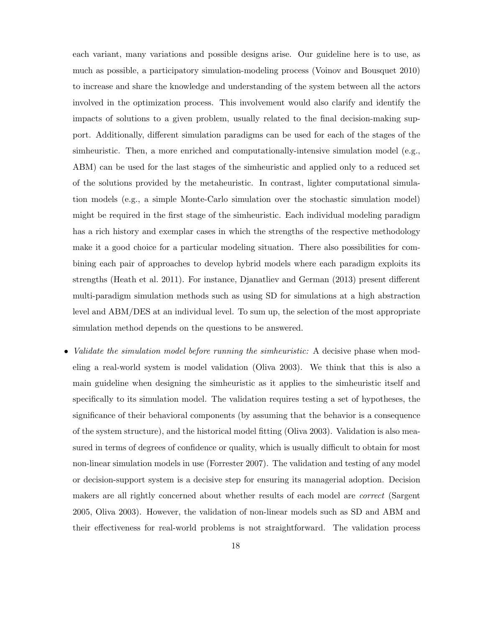each variant, many variations and possible designs arise. Our guideline here is to use, as much as possible, a participatory simulation-modeling process (Voinov and Bousquet 2010) to increase and share the knowledge and understanding of the system between all the actors involved in the optimization process. This involvement would also clarify and identify the impacts of solutions to a given problem, usually related to the final decision-making support. Additionally, different simulation paradigms can be used for each of the stages of the simheuristic. Then, a more enriched and computationally-intensive simulation model (e.g., ABM) can be used for the last stages of the simheuristic and applied only to a reduced set of the solutions provided by the metaheuristic. In contrast, lighter computational simulation models (e.g., a simple Monte-Carlo simulation over the stochastic simulation model) might be required in the first stage of the simheuristic. Each individual modeling paradigm has a rich history and exemplar cases in which the strengths of the respective methodology make it a good choice for a particular modeling situation. There also possibilities for combining each pair of approaches to develop hybrid models where each paradigm exploits its strengths (Heath et al. 2011). For instance, Djanatliev and German (2013) present different multi-paradigm simulation methods such as using SD for simulations at a high abstraction level and ABM/DES at an individual level. To sum up, the selection of the most appropriate simulation method depends on the questions to be answered.

• *Validate the simulation model before running the simheuristic:* A decisive phase when modeling a real-world system is model validation (Oliva 2003). We think that this is also a main guideline when designing the simheuristic as it applies to the simheuristic itself and specifically to its simulation model. The validation requires testing a set of hypotheses, the significance of their behavioral components (by assuming that the behavior is a consequence of the system structure), and the historical model fitting (Oliva 2003). Validation is also measured in terms of degrees of confidence or quality, which is usually difficult to obtain for most non-linear simulation models in use (Forrester 2007). The validation and testing of any model or decision-support system is a decisive step for ensuring its managerial adoption. Decision makers are all rightly concerned about whether results of each model are correct (Sargent 2005, Oliva 2003). However, the validation of non-linear models such as SD and ABM and their effectiveness for real-world problems is not straightforward. The validation process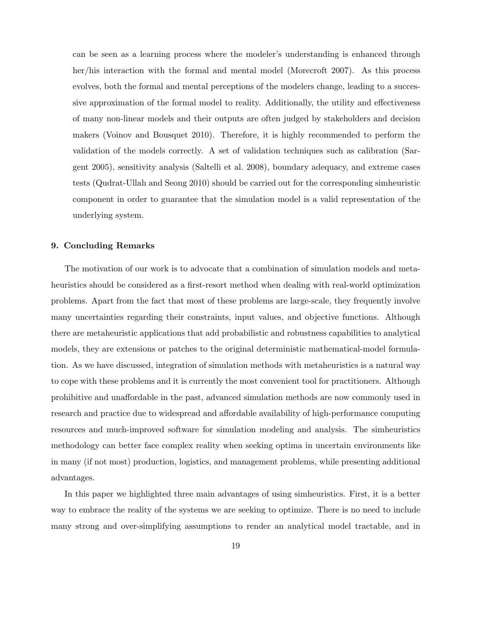can be seen as a learning process where the modeler's understanding is enhanced through her/his interaction with the formal and mental model (Morecroft 2007). As this process evolves, both the formal and mental perceptions of the modelers change, leading to a successive approximation of the formal model to reality. Additionally, the utility and effectiveness of many non-linear models and their outputs are often judged by stakeholders and decision makers (Voinov and Bousquet 2010). Therefore, it is highly recommended to perform the validation of the models correctly. A set of validation techniques such as calibration (Sargent 2005), sensitivity analysis (Saltelli et al. 2008), boundary adequacy, and extreme cases tests (Qudrat-Ullah and Seong 2010) should be carried out for the corresponding simheuristic component in order to guarantee that the simulation model is a valid representation of the underlying system.

### 9. Concluding Remarks

The motivation of our work is to advocate that a combination of simulation models and metaheuristics should be considered as a first-resort method when dealing with real-world optimization problems. Apart from the fact that most of these problems are large-scale, they frequently involve many uncertainties regarding their constraints, input values, and objective functions. Although there are metaheuristic applications that add probabilistic and robustness capabilities to analytical models, they are extensions or patches to the original deterministic mathematical-model formulation. As we have discussed, integration of simulation methods with metaheuristics is a natural way to cope with these problems and it is currently the most convenient tool for practitioners. Although prohibitive and unaffordable in the past, advanced simulation methods are now commonly used in research and practice due to widespread and affordable availability of high-performance computing resources and much-improved software for simulation modeling and analysis. The simheuristics methodology can better face complex reality when seeking optima in uncertain environments like in many (if not most) production, logistics, and management problems, while presenting additional advantages.

In this paper we highlighted three main advantages of using simheuristics. First, it is a better way to embrace the reality of the systems we are seeking to optimize. There is no need to include many strong and over-simplifying assumptions to render an analytical model tractable, and in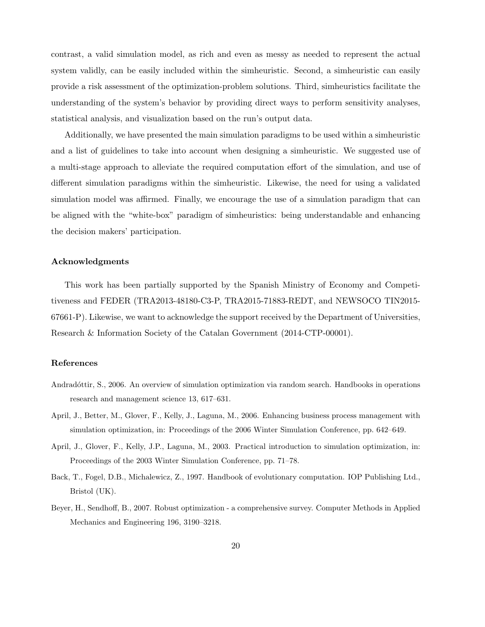contrast, a valid simulation model, as rich and even as messy as needed to represent the actual system validly, can be easily included within the simheuristic. Second, a simheuristic can easily provide a risk assessment of the optimization-problem solutions. Third, simheuristics facilitate the understanding of the system's behavior by providing direct ways to perform sensitivity analyses, statistical analysis, and visualization based on the run's output data.

Additionally, we have presented the main simulation paradigms to be used within a simheuristic and a list of guidelines to take into account when designing a simheuristic. We suggested use of a multi-stage approach to alleviate the required computation effort of the simulation, and use of different simulation paradigms within the simheuristic. Likewise, the need for using a validated simulation model was affirmed. Finally, we encourage the use of a simulation paradigm that can be aligned with the "white-box" paradigm of simheuristics: being understandable and enhancing the decision makers' participation.

# Acknowledgments

This work has been partially supported by the Spanish Ministry of Economy and Competitiveness and FEDER (TRA2013-48180-C3-P, TRA2015-71883-REDT, and NEWSOCO TIN2015- 67661-P). Likewise, we want to acknowledge the support received by the Department of Universities, Research & Information Society of the Catalan Government (2014-CTP-00001).

#### References

- Andradóttir, S., 2006. An overview of simulation optimization via random search. Handbooks in operations research and management science 13, 617–631.
- April, J., Better, M., Glover, F., Kelly, J., Laguna, M., 2006. Enhancing business process management with simulation optimization, in: Proceedings of the 2006 Winter Simulation Conference, pp. 642–649.
- April, J., Glover, F., Kelly, J.P., Laguna, M., 2003. Practical introduction to simulation optimization, in: Proceedings of the 2003 Winter Simulation Conference, pp. 71–78.
- Back, T., Fogel, D.B., Michalewicz, Z., 1997. Handbook of evolutionary computation. IOP Publishing Ltd., Bristol (UK).
- Beyer, H., Sendhoff, B., 2007. Robust optimization a comprehensive survey. Computer Methods in Applied Mechanics and Engineering 196, 3190–3218.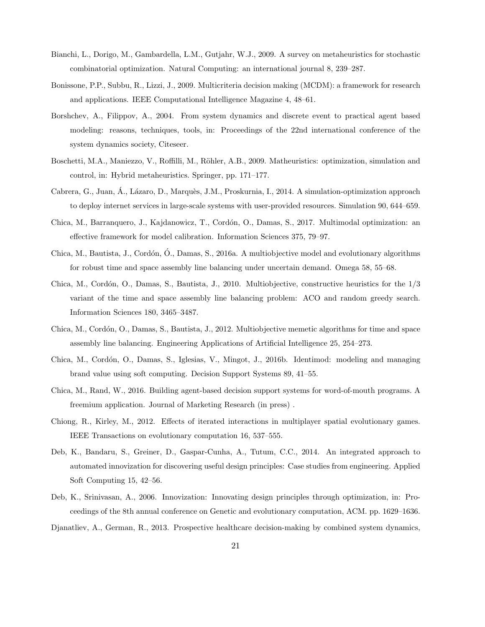- Bianchi, L., Dorigo, M., Gambardella, L.M., Gutjahr, W.J., 2009. A survey on metaheuristics for stochastic combinatorial optimization. Natural Computing: an international journal 8, 239–287.
- Bonissone, P.P., Subbu, R., Lizzi, J., 2009. Multicriteria decision making (MCDM): a framework for research and applications. IEEE Computational Intelligence Magazine 4, 48–61.
- Borshchev, A., Filippov, A., 2004. From system dynamics and discrete event to practical agent based modeling: reasons, techniques, tools, in: Proceedings of the 22nd international conference of the system dynamics society, Citeseer.
- Boschetti, M.A., Maniezzo, V., Roffilli, M., Röhler, A.B., 2009. Matheuristics: optimization, simulation and control, in: Hybrid metaheuristics. Springer, pp. 171–177.
- Cabrera, G., Juan, Á., Lázaro, D., Marquès, J.M., Proskurnia, I., 2014. A simulation-optimization approach to deploy internet services in large-scale systems with user-provided resources. Simulation 90, 644–659.
- Chica, M., Barranquero, J., Kajdanowicz, T., Cordón, O., Damas, S., 2017. Multimodal optimization: an effective framework for model calibration. Information Sciences 375, 79–97.
- Chica, M., Bautista, J., Cordón, Ó., Damas, S., 2016a. A multiobjective model and evolutionary algorithms for robust time and space assembly line balancing under uncertain demand. Omega 58, 55–68.
- Chica, M., Cordón, O., Damas, S., Bautista, J., 2010. Multiobjective, constructive heuristics for the  $1/3$ variant of the time and space assembly line balancing problem: ACO and random greedy search. Information Sciences 180, 3465–3487.
- Chica, M., Cordón, O., Damas, S., Bautista, J., 2012. Multiobjective memetic algorithms for time and space assembly line balancing. Engineering Applications of Artificial Intelligence 25, 254–273.
- Chica, M., Cordón, O., Damas, S., Iglesias, V., Mingot, J., 2016b. Identimod: modeling and managing brand value using soft computing. Decision Support Systems 89, 41–55.
- Chica, M., Rand, W., 2016. Building agent-based decision support systems for word-of-mouth programs. A freemium application. Journal of Marketing Research (in press) .
- Chiong, R., Kirley, M., 2012. Effects of iterated interactions in multiplayer spatial evolutionary games. IEEE Transactions on evolutionary computation 16, 537–555.
- Deb, K., Bandaru, S., Greiner, D., Gaspar-Cunha, A., Tutum, C.C., 2014. An integrated approach to automated innovization for discovering useful design principles: Case studies from engineering. Applied Soft Computing 15, 42–56.
- Deb, K., Srinivasan, A., 2006. Innovization: Innovating design principles through optimization, in: Proceedings of the 8th annual conference on Genetic and evolutionary computation, ACM. pp. 1629–1636.
- Djanatliev, A., German, R., 2013. Prospective healthcare decision-making by combined system dynamics,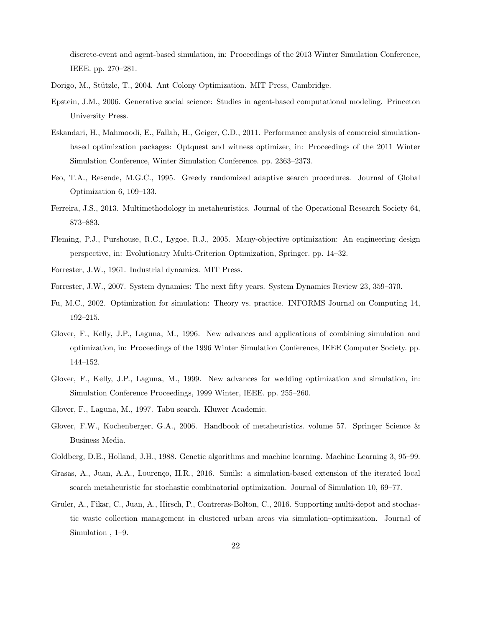discrete-event and agent-based simulation, in: Proceedings of the 2013 Winter Simulation Conference, IEEE. pp. 270–281.

- Dorigo, M., Stützle, T., 2004. Ant Colony Optimization. MIT Press, Cambridge.
- Epstein, J.M., 2006. Generative social science: Studies in agent-based computational modeling. Princeton University Press.
- Eskandari, H., Mahmoodi, E., Fallah, H., Geiger, C.D., 2011. Performance analysis of comercial simulationbased optimization packages: Optquest and witness optimizer, in: Proceedings of the 2011 Winter Simulation Conference, Winter Simulation Conference. pp. 2363–2373.
- Feo, T.A., Resende, M.G.C., 1995. Greedy randomized adaptive search procedures. Journal of Global Optimization 6, 109–133.
- Ferreira, J.S., 2013. Multimethodology in metaheuristics. Journal of the Operational Research Society 64, 873–883.
- Fleming, P.J., Purshouse, R.C., Lygoe, R.J., 2005. Many-objective optimization: An engineering design perspective, in: Evolutionary Multi-Criterion Optimization, Springer. pp. 14–32.
- Forrester, J.W., 1961. Industrial dynamics. MIT Press.
- Forrester, J.W., 2007. System dynamics: The next fifty years. System Dynamics Review 23, 359–370.
- Fu, M.C., 2002. Optimization for simulation: Theory vs. practice. INFORMS Journal on Computing 14, 192–215.
- Glover, F., Kelly, J.P., Laguna, M., 1996. New advances and applications of combining simulation and optimization, in: Proceedings of the 1996 Winter Simulation Conference, IEEE Computer Society. pp. 144–152.
- Glover, F., Kelly, J.P., Laguna, M., 1999. New advances for wedding optimization and simulation, in: Simulation Conference Proceedings, 1999 Winter, IEEE. pp. 255–260.
- Glover, F., Laguna, M., 1997. Tabu search. Kluwer Academic.
- Glover, F.W., Kochenberger, G.A., 2006. Handbook of metaheuristics. volume 57. Springer Science & Business Media.
- Goldberg, D.E., Holland, J.H., 1988. Genetic algorithms and machine learning. Machine Learning 3, 95–99.
- Grasas, A., Juan, A.A., Lourenço, H.R., 2016. Simils: a simulation-based extension of the iterated local search metaheuristic for stochastic combinatorial optimization. Journal of Simulation 10, 69–77.
- Gruler, A., Fikar, C., Juan, A., Hirsch, P., Contreras-Bolton, C., 2016. Supporting multi-depot and stochastic waste collection management in clustered urban areas via simulation–optimization. Journal of Simulation , 1–9.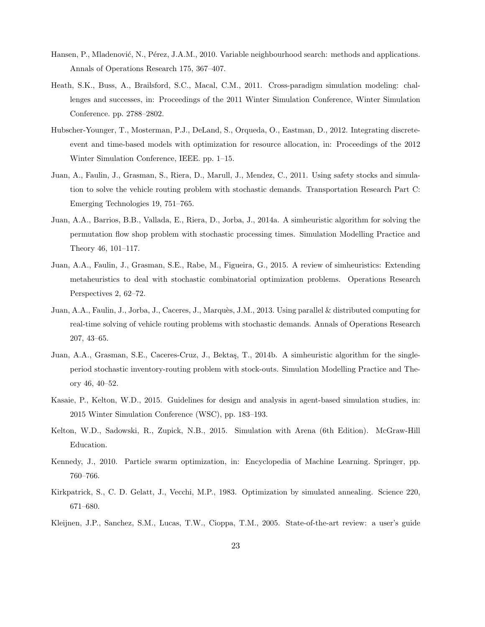- Hansen, P., Mladenović, N., Pérez, J.A.M., 2010. Variable neighbourhood search: methods and applications. Annals of Operations Research 175, 367–407.
- Heath, S.K., Buss, A., Brailsford, S.C., Macal, C.M., 2011. Cross-paradigm simulation modeling: challenges and successes, in: Proceedings of the 2011 Winter Simulation Conference, Winter Simulation Conference. pp. 2788–2802.
- Hubscher-Younger, T., Mosterman, P.J., DeLand, S., Orqueda, O., Eastman, D., 2012. Integrating discreteevent and time-based models with optimization for resource allocation, in: Proceedings of the 2012 Winter Simulation Conference, IEEE. pp. 1–15.
- Juan, A., Faulin, J., Grasman, S., Riera, D., Marull, J., Mendez, C., 2011. Using safety stocks and simulation to solve the vehicle routing problem with stochastic demands. Transportation Research Part C: Emerging Technologies 19, 751–765.
- Juan, A.A., Barrios, B.B., Vallada, E., Riera, D., Jorba, J., 2014a. A simheuristic algorithm for solving the permutation flow shop problem with stochastic processing times. Simulation Modelling Practice and Theory 46, 101–117.
- Juan, A.A., Faulin, J., Grasman, S.E., Rabe, M., Figueira, G., 2015. A review of simheuristics: Extending metaheuristics to deal with stochastic combinatorial optimization problems. Operations Research Perspectives 2, 62–72.
- Juan, A.A., Faulin, J., Jorba, J., Caceres, J., Marquès, J.M., 2013. Using parallel & distributed computing for real-time solving of vehicle routing problems with stochastic demands. Annals of Operations Research 207, 43–65.
- Juan, A.A., Grasman, S.E., Caceres-Cruz, J., Bektas, T., 2014b. A simheuristic algorithm for the singleperiod stochastic inventory-routing problem with stock-outs. Simulation Modelling Practice and Theory 46, 40–52.
- Kasaie, P., Kelton, W.D., 2015. Guidelines for design and analysis in agent-based simulation studies, in: 2015 Winter Simulation Conference (WSC), pp. 183–193.
- Kelton, W.D., Sadowski, R., Zupick, N.B., 2015. Simulation with Arena (6th Edition). McGraw-Hill Education.
- Kennedy, J., 2010. Particle swarm optimization, in: Encyclopedia of Machine Learning. Springer, pp. 760–766.
- Kirkpatrick, S., C. D. Gelatt, J., Vecchi, M.P., 1983. Optimization by simulated annealing. Science 220, 671–680.
- Kleijnen, J.P., Sanchez, S.M., Lucas, T.W., Cioppa, T.M., 2005. State-of-the-art review: a user's guide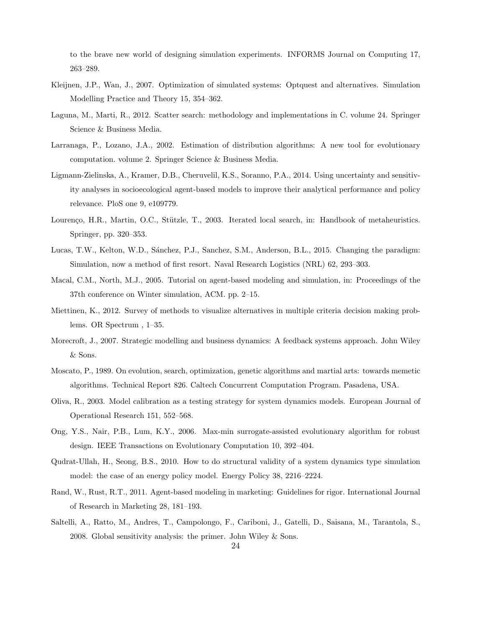to the brave new world of designing simulation experiments. INFORMS Journal on Computing 17, 263–289.

- Kleijnen, J.P., Wan, J., 2007. Optimization of simulated systems: Optquest and alternatives. Simulation Modelling Practice and Theory 15, 354–362.
- Laguna, M., Marti, R., 2012. Scatter search: methodology and implementations in C. volume 24. Springer Science & Business Media.
- Larranaga, P., Lozano, J.A., 2002. Estimation of distribution algorithms: A new tool for evolutionary computation. volume 2. Springer Science & Business Media.
- Ligmann-Zielinska, A., Kramer, D.B., Cheruvelil, K.S., Soranno, P.A., 2014. Using uncertainty and sensitivity analyses in socioecological agent-based models to improve their analytical performance and policy relevance. PloS one 9, e109779.
- Lourenço, H.R., Martin, O.C., Stützle, T., 2003. Iterated local search, in: Handbook of metaheuristics. Springer, pp. 320–353.
- Lucas, T.W., Kelton, W.D., Sánchez, P.J., Sanchez, S.M., Anderson, B.L., 2015. Changing the paradigm: Simulation, now a method of first resort. Naval Research Logistics (NRL) 62, 293–303.
- Macal, C.M., North, M.J., 2005. Tutorial on agent-based modeling and simulation, in: Proceedings of the 37th conference on Winter simulation, ACM. pp. 2–15.
- Miettinen, K., 2012. Survey of methods to visualize alternatives in multiple criteria decision making problems. OR Spectrum , 1–35.
- Morecroft, J., 2007. Strategic modelling and business dynamics: A feedback systems approach. John Wiley & Sons.
- Moscato, P., 1989. On evolution, search, optimization, genetic algorithms and martial arts: towards memetic algorithms. Technical Report 826. Caltech Concurrent Computation Program. Pasadena, USA.
- Oliva, R., 2003. Model calibration as a testing strategy for system dynamics models. European Journal of Operational Research 151, 552–568.
- Ong, Y.S., Nair, P.B., Lum, K.Y., 2006. Max-min surrogate-assisted evolutionary algorithm for robust design. IEEE Transactions on Evolutionary Computation 10, 392–404.
- Qudrat-Ullah, H., Seong, B.S., 2010. How to do structural validity of a system dynamics type simulation model: the case of an energy policy model. Energy Policy 38, 2216–2224.
- Rand, W., Rust, R.T., 2011. Agent-based modeling in marketing: Guidelines for rigor. International Journal of Research in Marketing 28, 181–193.
- Saltelli, A., Ratto, M., Andres, T., Campolongo, F., Cariboni, J., Gatelli, D., Saisana, M., Tarantola, S., 2008. Global sensitivity analysis: the primer. John Wiley & Sons.